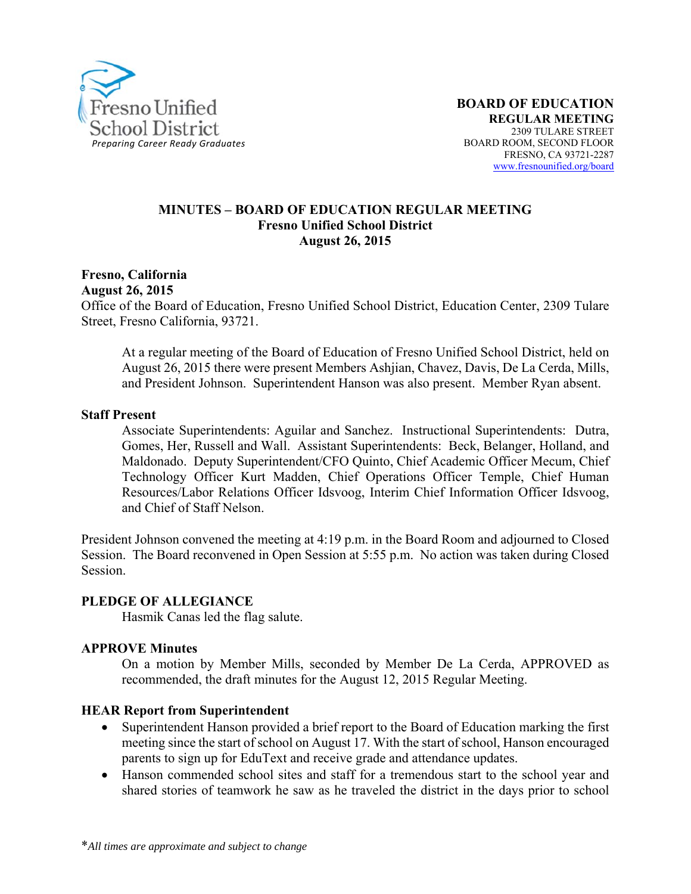

#### **MINUTES – BOARD OF EDUCATION REGULAR MEETING Fresno Unified School District August 26, 2015**

# **Fresno, California**

**August 26, 2015** 

Office of the Board of Education, Fresno Unified School District, Education Center, 2309 Tulare Street, Fresno California, 93721.

At a regular meeting of the Board of Education of Fresno Unified School District, held on August 26, 2015 there were present Members Ashjian, Chavez, Davis, De La Cerda, Mills, and President Johnson. Superintendent Hanson was also present. Member Ryan absent.

#### **Staff Present**

Associate Superintendents: Aguilar and Sanchez. Instructional Superintendents: Dutra, Gomes, Her, Russell and Wall. Assistant Superintendents: Beck, Belanger, Holland, and Maldonado. Deputy Superintendent/CFO Quinto, Chief Academic Officer Mecum, Chief Technology Officer Kurt Madden, Chief Operations Officer Temple, Chief Human Resources/Labor Relations Officer Idsvoog, Interim Chief Information Officer Idsvoog, and Chief of Staff Nelson.

President Johnson convened the meeting at 4:19 p.m. in the Board Room and adjourned to Closed Session. The Board reconvened in Open Session at 5:55 p.m. No action was taken during Closed Session.

#### **PLEDGE OF ALLEGIANCE**

Hasmik Canas led the flag salute.

#### **APPROVE Minutes**

On a motion by Member Mills, seconded by Member De La Cerda, APPROVED as recommended, the draft minutes for the August 12, 2015 Regular Meeting.

#### **HEAR Report from Superintendent**

- Superintendent Hanson provided a brief report to the Board of Education marking the first meeting since the start of school on August 17. With the start of school, Hanson encouraged parents to sign up for EduText and receive grade and attendance updates.
- Hanson commended school sites and staff for a tremendous start to the school year and shared stories of teamwork he saw as he traveled the district in the days prior to school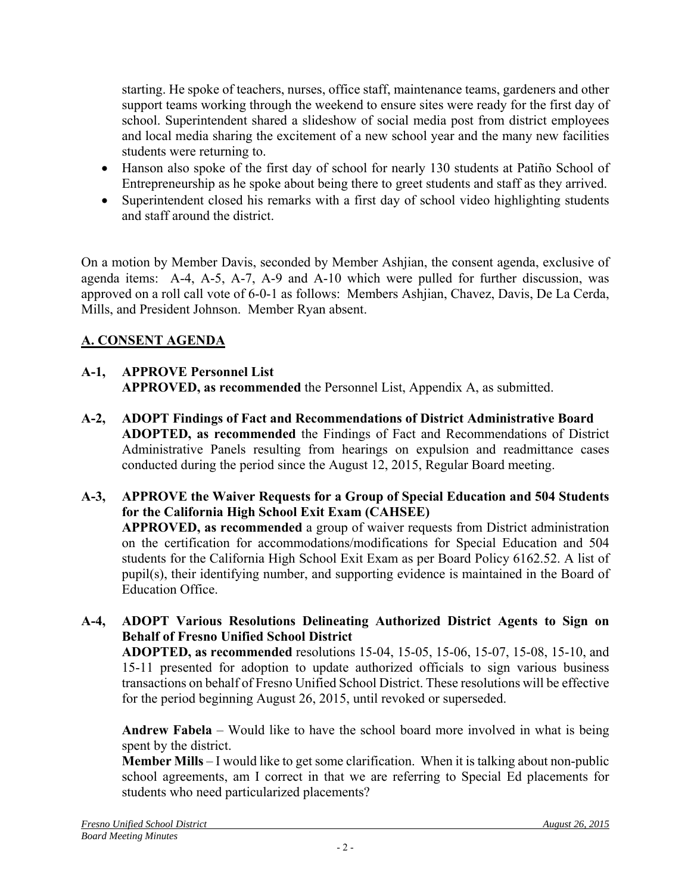starting. He spoke of teachers, nurses, office staff, maintenance teams, gardeners and other support teams working through the weekend to ensure sites were ready for the first day of school. Superintendent shared a slideshow of social media post from district employees and local media sharing the excitement of a new school year and the many new facilities students were returning to.

- Hanson also spoke of the first day of school for nearly 130 students at Patiño School of Entrepreneurship as he spoke about being there to greet students and staff as they arrived.
- Superintendent closed his remarks with a first day of school video highlighting students and staff around the district.

On a motion by Member Davis, seconded by Member Ashjian, the consent agenda, exclusive of agenda items: A-4, A-5, A-7, A-9 and A-10 which were pulled for further discussion, was approved on a roll call vote of 6-0-1 as follows: Members Ashjian, Chavez, Davis, De La Cerda, Mills, and President Johnson. Member Ryan absent.

# **A. CONSENT AGENDA**

# **A-1, APPROVE Personnel List**

**APPROVED, as recommended** the Personnel List, Appendix A, as submitted.

- **A-2, ADOPT Findings of Fact and Recommendations of District Administrative Board ADOPTED, as recommended** the Findings of Fact and Recommendations of District Administrative Panels resulting from hearings on expulsion and readmittance cases conducted during the period since the August 12, 2015, Regular Board meeting.
- **A-3, APPROVE the Waiver Requests for a Group of Special Education and 504 Students for the California High School Exit Exam (CAHSEE) APPROVED, as recommended** a group of waiver requests from District administration on the certification for accommodations/modifications for Special Education and 504 students for the California High School Exit Exam as per Board Policy 6162.52. A list of pupil(s), their identifying number, and supporting evidence is maintained in the Board of Education Office.
- **A-4, ADOPT Various Resolutions Delineating Authorized District Agents to Sign on Behalf of Fresno Unified School District**

**ADOPTED, as recommended** resolutions 15-04, 15-05, 15-06, 15-07, 15-08, 15-10, and 15-11 presented for adoption to update authorized officials to sign various business transactions on behalf of Fresno Unified School District. These resolutions will be effective for the period beginning August 26, 2015, until revoked or superseded.

**Andrew Fabela** – Would like to have the school board more involved in what is being spent by the district.

**Member Mills** – I would like to get some clarification. When it is talking about non-public school agreements, am I correct in that we are referring to Special Ed placements for students who need particularized placements?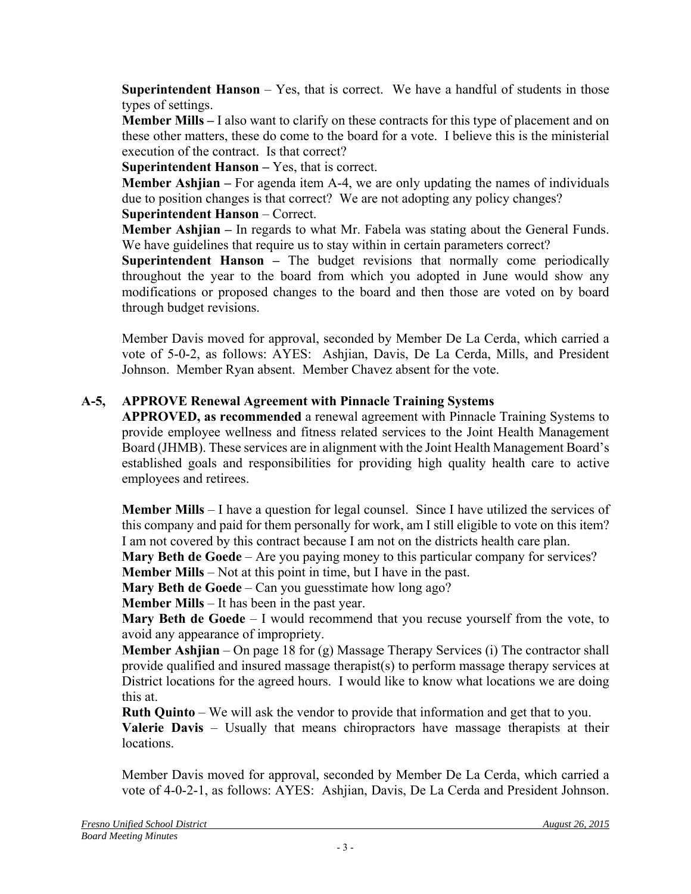**Superintendent Hanson** – Yes, that is correct. We have a handful of students in those types of settings.

**Member Mills –** I also want to clarify on these contracts for this type of placement and on these other matters, these do come to the board for a vote. I believe this is the ministerial execution of the contract. Is that correct?

**Superintendent Hanson –** Yes, that is correct.

**Member Ashjian –** For agenda item A-4, we are only updating the names of individuals due to position changes is that correct? We are not adopting any policy changes?

# **Superintendent Hanson** – Correct.

**Member Ashjian –** In regards to what Mr. Fabela was stating about the General Funds. We have guidelines that require us to stay within in certain parameters correct?

**Superintendent Hanson –** The budget revisions that normally come periodically throughout the year to the board from which you adopted in June would show any modifications or proposed changes to the board and then those are voted on by board through budget revisions.

Member Davis moved for approval, seconded by Member De La Cerda, which carried a vote of 5-0-2, as follows: AYES: Ashjian, Davis, De La Cerda, Mills, and President Johnson. Member Ryan absent. Member Chavez absent for the vote.

# **A-5, APPROVE Renewal Agreement with Pinnacle Training Systems**

**APPROVED, as recommended** a renewal agreement with Pinnacle Training Systems to provide employee wellness and fitness related services to the Joint Health Management Board (JHMB). These services are in alignment with the Joint Health Management Board's established goals and responsibilities for providing high quality health care to active employees and retirees.

**Member Mills** – I have a question for legal counsel. Since I have utilized the services of this company and paid for them personally for work, am I still eligible to vote on this item? I am not covered by this contract because I am not on the districts health care plan.

**Mary Beth de Goede** – Are you paying money to this particular company for services? **Member Mills** – Not at this point in time, but I have in the past.

**Mary Beth de Goede** – Can you guesstimate how long ago?

**Member Mills** – It has been in the past year.

**Mary Beth de Goede** – I would recommend that you recuse yourself from the vote, to avoid any appearance of impropriety.

**Member Ashjian** – On page 18 for (g) Massage Therapy Services (i) The contractor shall provide qualified and insured massage therapist(s) to perform massage therapy services at District locations for the agreed hours. I would like to know what locations we are doing this at.

**Ruth Quinto** – We will ask the vendor to provide that information and get that to you.

**Valerie Davis** – Usually that means chiropractors have massage therapists at their locations.

Member Davis moved for approval, seconded by Member De La Cerda, which carried a vote of 4-0-2-1, as follows: AYES: Ashjian, Davis, De La Cerda and President Johnson.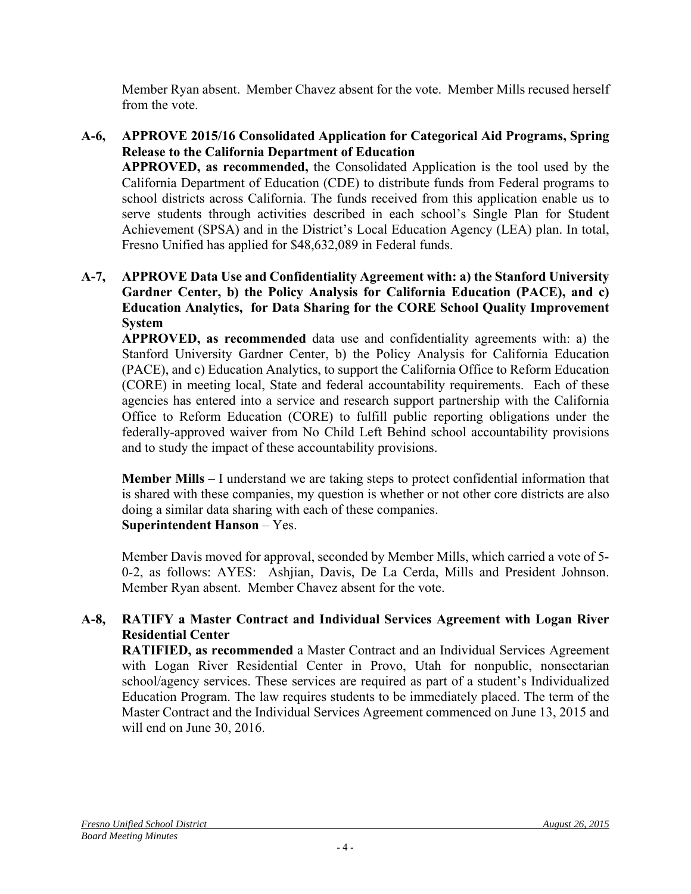Member Ryan absent. Member Chavez absent for the vote. Member Mills recused herself from the vote.

- **A-6, APPROVE 2015/16 Consolidated Application for Categorical Aid Programs, Spring Release to the California Department of Education APPROVED, as recommended,** the Consolidated Application is the tool used by the California Department of Education (CDE) to distribute funds from Federal programs to school districts across California. The funds received from this application enable us to serve students through activities described in each school's Single Plan for Student Achievement (SPSA) and in the District's Local Education Agency (LEA) plan. In total, Fresno Unified has applied for \$48,632,089 in Federal funds.
- **A-7, APPROVE Data Use and Confidentiality Agreement with: a) the Stanford University Gardner Center, b) the Policy Analysis for California Education (PACE), and c) Education Analytics, for Data Sharing for the CORE School Quality Improvement System**

**APPROVED, as recommended** data use and confidentiality agreements with: a) the Stanford University Gardner Center, b) the Policy Analysis for California Education (PACE), and c) Education Analytics, to support the California Office to Reform Education (CORE) in meeting local, State and federal accountability requirements. Each of these agencies has entered into a service and research support partnership with the California Office to Reform Education (CORE) to fulfill public reporting obligations under the federally-approved waiver from No Child Left Behind school accountability provisions and to study the impact of these accountability provisions.

**Member Mills** – I understand we are taking steps to protect confidential information that is shared with these companies, my question is whether or not other core districts are also doing a similar data sharing with each of these companies. **Superintendent Hanson** – Yes.

Member Davis moved for approval, seconded by Member Mills, which carried a vote of 5- 0-2, as follows: AYES: Ashjian, Davis, De La Cerda, Mills and President Johnson. Member Ryan absent. Member Chavez absent for the vote.

## **A-8, RATIFY a Master Contract and Individual Services Agreement with Logan River Residential Center**

**RATIFIED, as recommended** a Master Contract and an Individual Services Agreement with Logan River Residential Center in Provo, Utah for nonpublic, nonsectarian school/agency services. These services are required as part of a student's Individualized Education Program. The law requires students to be immediately placed. The term of the Master Contract and the Individual Services Agreement commenced on June 13, 2015 and will end on June 30, 2016.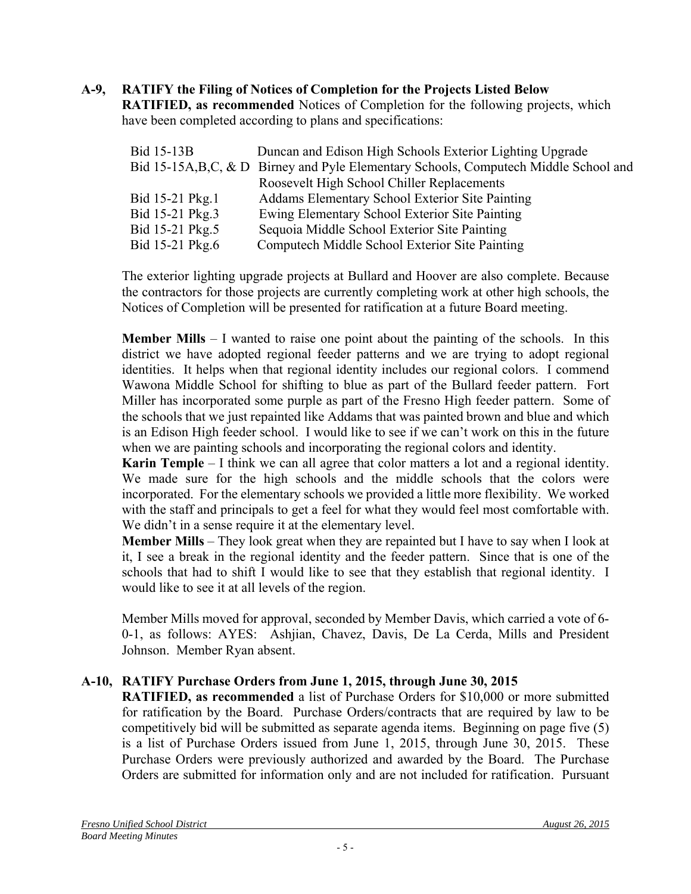# **A-9, RATIFY the Filing of Notices of Completion for the Projects Listed Below**

**RATIFIED, as recommended** Notices of Completion for the following projects, which have been completed according to plans and specifications:

| Bid 15-13B      | Duncan and Edison High Schools Exterior Lighting Upgrade                               |
|-----------------|----------------------------------------------------------------------------------------|
|                 | Bid 15-15A, B, C, & D Birney and Pyle Elementary Schools, Compute ch Middle School and |
|                 | Roosevelt High School Chiller Replacements                                             |
| Bid 15-21 Pkg.1 | Addams Elementary School Exterior Site Painting                                        |
| Bid 15-21 Pkg.3 | Ewing Elementary School Exterior Site Painting                                         |
| Bid 15-21 Pkg.5 | Sequoia Middle School Exterior Site Painting                                           |
| Bid 15-21 Pkg.6 | Computech Middle School Exterior Site Painting                                         |

The exterior lighting upgrade projects at Bullard and Hoover are also complete. Because the contractors for those projects are currently completing work at other high schools, the Notices of Completion will be presented for ratification at a future Board meeting.

**Member Mills** – I wanted to raise one point about the painting of the schools. In this district we have adopted regional feeder patterns and we are trying to adopt regional identities. It helps when that regional identity includes our regional colors. I commend Wawona Middle School for shifting to blue as part of the Bullard feeder pattern. Fort Miller has incorporated some purple as part of the Fresno High feeder pattern. Some of the schools that we just repainted like Addams that was painted brown and blue and which is an Edison High feeder school. I would like to see if we can't work on this in the future when we are painting schools and incorporating the regional colors and identity.

**Karin Temple** – I think we can all agree that color matters a lot and a regional identity. We made sure for the high schools and the middle schools that the colors were incorporated. For the elementary schools we provided a little more flexibility. We worked with the staff and principals to get a feel for what they would feel most comfortable with. We didn't in a sense require it at the elementary level.

**Member Mills** – They look great when they are repainted but I have to say when I look at it, I see a break in the regional identity and the feeder pattern. Since that is one of the schools that had to shift I would like to see that they establish that regional identity. I would like to see it at all levels of the region.

Member Mills moved for approval, seconded by Member Davis, which carried a vote of 6- 0-1, as follows: AYES: Ashjian, Chavez, Davis, De La Cerda, Mills and President Johnson. Member Ryan absent.

# **A-10, RATIFY Purchase Orders from June 1, 2015, through June 30, 2015**

**RATIFIED, as recommended** a list of Purchase Orders for \$10,000 or more submitted for ratification by the Board. Purchase Orders/contracts that are required by law to be competitively bid will be submitted as separate agenda items. Beginning on page five (5) is a list of Purchase Orders issued from June 1, 2015, through June 30, 2015. These Purchase Orders were previously authorized and awarded by the Board. The Purchase Orders are submitted for information only and are not included for ratification. Pursuant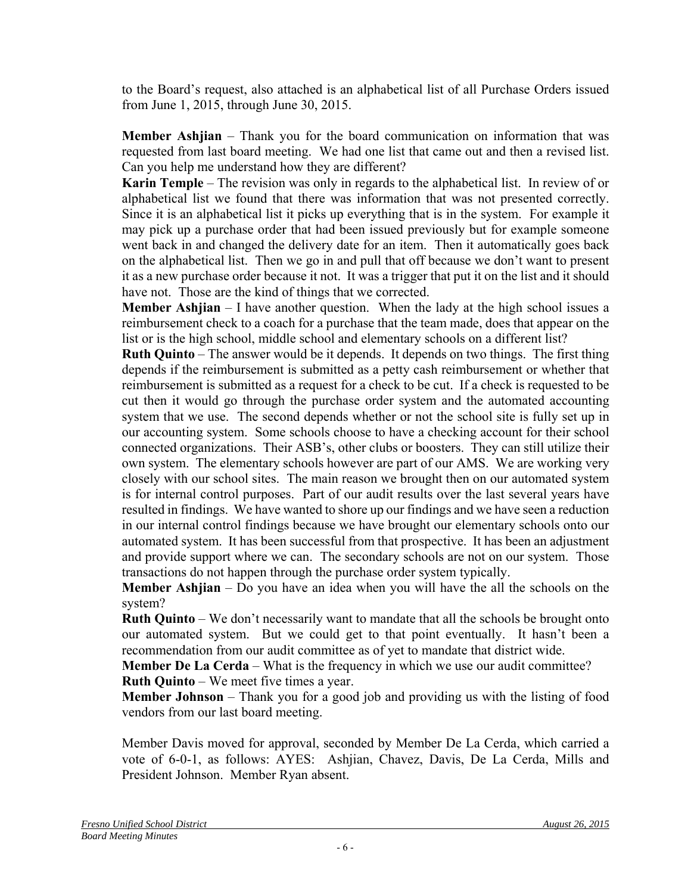to the Board's request, also attached is an alphabetical list of all Purchase Orders issued from June 1, 2015, through June 30, 2015.

**Member Ashjian** – Thank you for the board communication on information that was requested from last board meeting. We had one list that came out and then a revised list. Can you help me understand how they are different?

**Karin Temple** – The revision was only in regards to the alphabetical list. In review of or alphabetical list we found that there was information that was not presented correctly. Since it is an alphabetical list it picks up everything that is in the system. For example it may pick up a purchase order that had been issued previously but for example someone went back in and changed the delivery date for an item. Then it automatically goes back on the alphabetical list. Then we go in and pull that off because we don't want to present it as a new purchase order because it not. It was a trigger that put it on the list and it should have not. Those are the kind of things that we corrected.

**Member Ashjian** – I have another question. When the lady at the high school issues a reimbursement check to a coach for a purchase that the team made, does that appear on the list or is the high school, middle school and elementary schools on a different list?

**Ruth Quinto** – The answer would be it depends. It depends on two things. The first thing depends if the reimbursement is submitted as a petty cash reimbursement or whether that reimbursement is submitted as a request for a check to be cut. If a check is requested to be cut then it would go through the purchase order system and the automated accounting system that we use. The second depends whether or not the school site is fully set up in our accounting system. Some schools choose to have a checking account for their school connected organizations. Their ASB's, other clubs or boosters. They can still utilize their own system. The elementary schools however are part of our AMS. We are working very closely with our school sites. The main reason we brought then on our automated system is for internal control purposes. Part of our audit results over the last several years have resulted in findings. We have wanted to shore up our findings and we have seen a reduction in our internal control findings because we have brought our elementary schools onto our automated system. It has been successful from that prospective. It has been an adjustment and provide support where we can. The secondary schools are not on our system. Those transactions do not happen through the purchase order system typically.

**Member Ashjian** – Do you have an idea when you will have the all the schools on the system?

**Ruth Quinto** – We don't necessarily want to mandate that all the schools be brought onto our automated system. But we could get to that point eventually. It hasn't been a recommendation from our audit committee as of yet to mandate that district wide.

**Member De La Cerda** – What is the frequency in which we use our audit committee? **Ruth Quinto** – We meet five times a year.

**Member Johnson** – Thank you for a good job and providing us with the listing of food vendors from our last board meeting.

Member Davis moved for approval, seconded by Member De La Cerda, which carried a vote of 6-0-1, as follows: AYES: Ashjian, Chavez, Davis, De La Cerda, Mills and President Johnson. Member Ryan absent.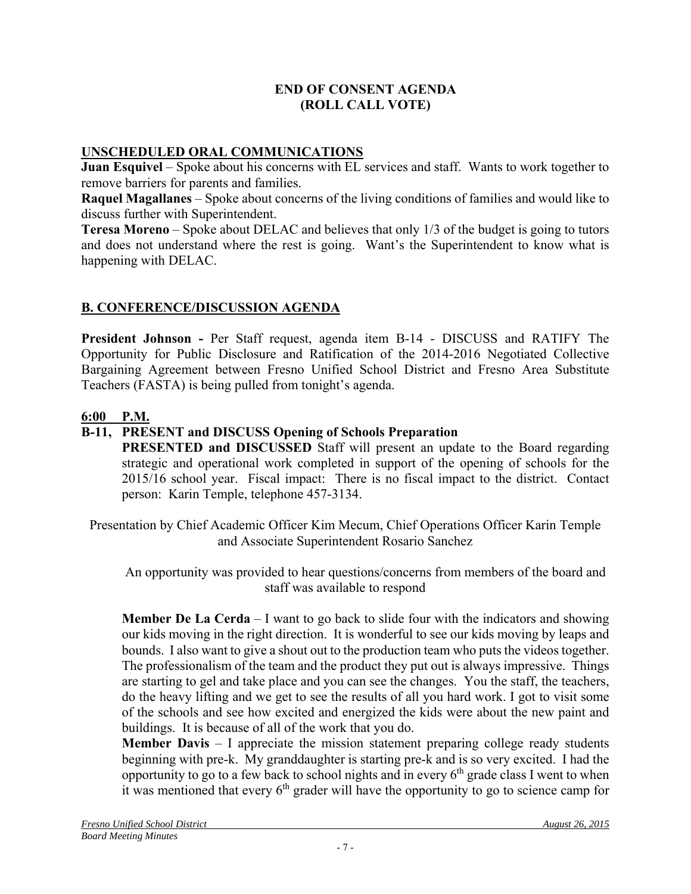## **END OF CONSENT AGENDA (ROLL CALL VOTE)**

## **UNSCHEDULED ORAL COMMUNICATIONS**

**Juan Esquivel** – Spoke about his concerns with EL services and staff. Wants to work together to remove barriers for parents and families.

**Raquel Magallanes** – Spoke about concerns of the living conditions of families and would like to discuss further with Superintendent.

**Teresa Moreno** – Spoke about DELAC and believes that only 1/3 of the budget is going to tutors and does not understand where the rest is going. Want's the Superintendent to know what is happening with DELAC.

# **B. CONFERENCE/DISCUSSION AGENDA**

**President Johnson -** Per Staff request, agenda item B-14 - DISCUSS and RATIFY The Opportunity for Public Disclosure and Ratification of the 2014-2016 Negotiated Collective Bargaining Agreement between Fresno Unified School District and Fresno Area Substitute Teachers (FASTA) is being pulled from tonight's agenda.

## **6:00 P.M.**

# **B-11, PRESENT and DISCUSS Opening of Schools Preparation**

**PRESENTED and DISCUSSED** Staff will present an update to the Board regarding strategic and operational work completed in support of the opening of schools for the 2015/16 school year. Fiscal impact: There is no fiscal impact to the district. Contact person: Karin Temple, telephone 457-3134.

Presentation by Chief Academic Officer Kim Mecum, Chief Operations Officer Karin Temple and Associate Superintendent Rosario Sanchez

An opportunity was provided to hear questions/concerns from members of the board and staff was available to respond

**Member De La Cerda** – I want to go back to slide four with the indicators and showing our kids moving in the right direction. It is wonderful to see our kids moving by leaps and bounds. I also want to give a shout out to the production team who puts the videos together. The professionalism of the team and the product they put out is always impressive. Things are starting to gel and take place and you can see the changes. You the staff, the teachers, do the heavy lifting and we get to see the results of all you hard work. I got to visit some of the schools and see how excited and energized the kids were about the new paint and buildings. It is because of all of the work that you do.

**Member Davis** – I appreciate the mission statement preparing college ready students beginning with pre-k. My granddaughter is starting pre-k and is so very excited. I had the opportunity to go to a few back to school nights and in every  $6<sup>th</sup>$  grade class I went to when it was mentioned that every  $6<sup>th</sup>$  grader will have the opportunity to go to science camp for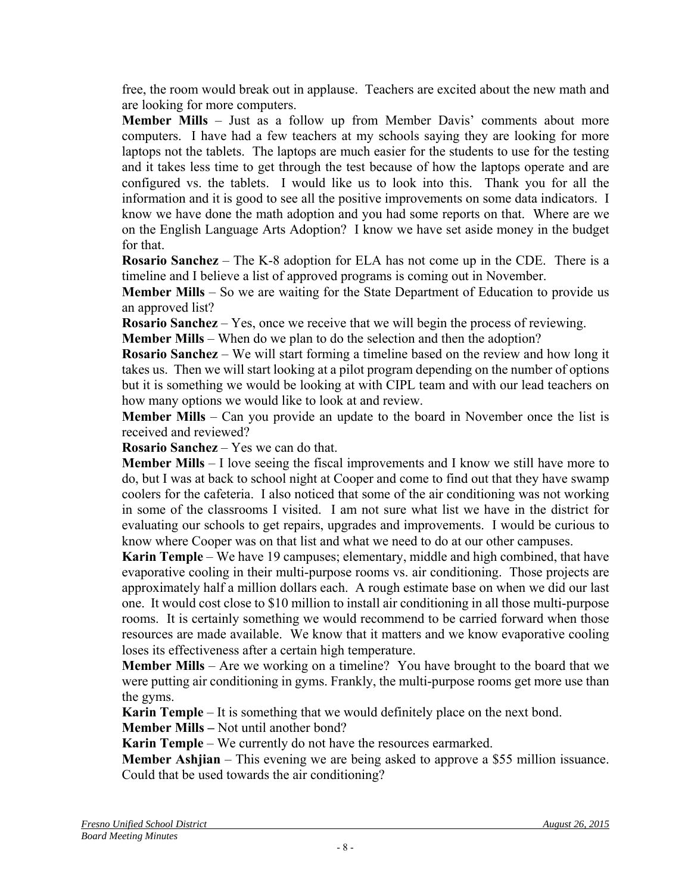free, the room would break out in applause. Teachers are excited about the new math and are looking for more computers.

**Member Mills** – Just as a follow up from Member Davis' comments about more computers. I have had a few teachers at my schools saying they are looking for more laptops not the tablets. The laptops are much easier for the students to use for the testing and it takes less time to get through the test because of how the laptops operate and are configured vs. the tablets. I would like us to look into this. Thank you for all the information and it is good to see all the positive improvements on some data indicators. I know we have done the math adoption and you had some reports on that. Where are we on the English Language Arts Adoption? I know we have set aside money in the budget for that.

**Rosario Sanchez** – The K-8 adoption for ELA has not come up in the CDE. There is a timeline and I believe a list of approved programs is coming out in November.

**Member Mills** – So we are waiting for the State Department of Education to provide us an approved list?

**Rosario Sanchez** – Yes, once we receive that we will begin the process of reviewing.

**Member Mills** – When do we plan to do the selection and then the adoption?

**Rosario Sanchez** – We will start forming a timeline based on the review and how long it takes us. Then we will start looking at a pilot program depending on the number of options but it is something we would be looking at with CIPL team and with our lead teachers on how many options we would like to look at and review.

**Member Mills** – Can you provide an update to the board in November once the list is received and reviewed?

**Rosario Sanchez** – Yes we can do that.

**Member Mills** – I love seeing the fiscal improvements and I know we still have more to do, but I was at back to school night at Cooper and come to find out that they have swamp coolers for the cafeteria. I also noticed that some of the air conditioning was not working in some of the classrooms I visited. I am not sure what list we have in the district for evaluating our schools to get repairs, upgrades and improvements. I would be curious to know where Cooper was on that list and what we need to do at our other campuses.

**Karin Temple** – We have 19 campuses; elementary, middle and high combined, that have evaporative cooling in their multi-purpose rooms vs. air conditioning. Those projects are approximately half a million dollars each. A rough estimate base on when we did our last one. It would cost close to \$10 million to install air conditioning in all those multi-purpose rooms. It is certainly something we would recommend to be carried forward when those resources are made available. We know that it matters and we know evaporative cooling loses its effectiveness after a certain high temperature.

**Member Mills** – Are we working on a timeline? You have brought to the board that we were putting air conditioning in gyms. Frankly, the multi-purpose rooms get more use than the gyms.

**Karin Temple** – It is something that we would definitely place on the next bond.

**Member Mills –** Not until another bond?

**Karin Temple** – We currently do not have the resources earmarked.

**Member Ashjian** – This evening we are being asked to approve a \$55 million issuance. Could that be used towards the air conditioning?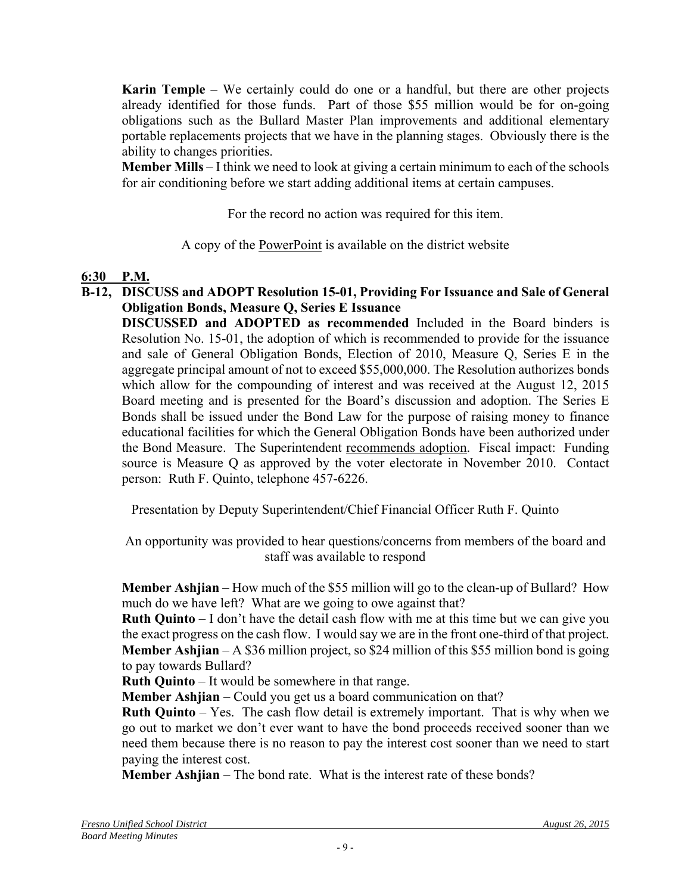**Karin Temple** – We certainly could do one or a handful, but there are other projects already identified for those funds. Part of those \$55 million would be for on-going obligations such as the Bullard Master Plan improvements and additional elementary portable replacements projects that we have in the planning stages. Obviously there is the ability to changes priorities.

**Member Mills** – I think we need to look at giving a certain minimum to each of the schools for air conditioning before we start adding additional items at certain campuses.

For the record no action was required for this item.

A copy of the PowerPoint is available on the district website

## **6:30 P.M.**

**B-12, DISCUSS and ADOPT Resolution 15-01, Providing For Issuance and Sale of General Obligation Bonds, Measure Q, Series E Issuance** 

**DISCUSSED and ADOPTED as recommended** Included in the Board binders is Resolution No. 15-01, the adoption of which is recommended to provide for the issuance and sale of General Obligation Bonds, Election of 2010, Measure Q, Series E in the aggregate principal amount of not to exceed \$55,000,000. The Resolution authorizes bonds which allow for the compounding of interest and was received at the August 12, 2015 Board meeting and is presented for the Board's discussion and adoption. The Series E Bonds shall be issued under the Bond Law for the purpose of raising money to finance educational facilities for which the General Obligation Bonds have been authorized under the Bond Measure. The Superintendent recommends adoption. Fiscal impact: Funding source is Measure Q as approved by the voter electorate in November 2010. Contact person: Ruth F. Quinto, telephone 457-6226.

Presentation by Deputy Superintendent/Chief Financial Officer Ruth F. Quinto

An opportunity was provided to hear questions/concerns from members of the board and staff was available to respond

**Member Ashjian** – How much of the \$55 million will go to the clean-up of Bullard? How much do we have left? What are we going to owe against that?

**Ruth Quinto** – I don't have the detail cash flow with me at this time but we can give you the exact progress on the cash flow. I would say we are in the front one-third of that project. **Member Ashjian** – A \$36 million project, so \$24 million of this \$55 million bond is going to pay towards Bullard?

**Ruth Quinto** – It would be somewhere in that range.

**Member Ashijan** – Could you get us a board communication on that?

**Ruth Quinto** – Yes. The cash flow detail is extremely important. That is why when we go out to market we don't ever want to have the bond proceeds received sooner than we need them because there is no reason to pay the interest cost sooner than we need to start paying the interest cost.

**Member Ashjian** – The bond rate. What is the interest rate of these bonds?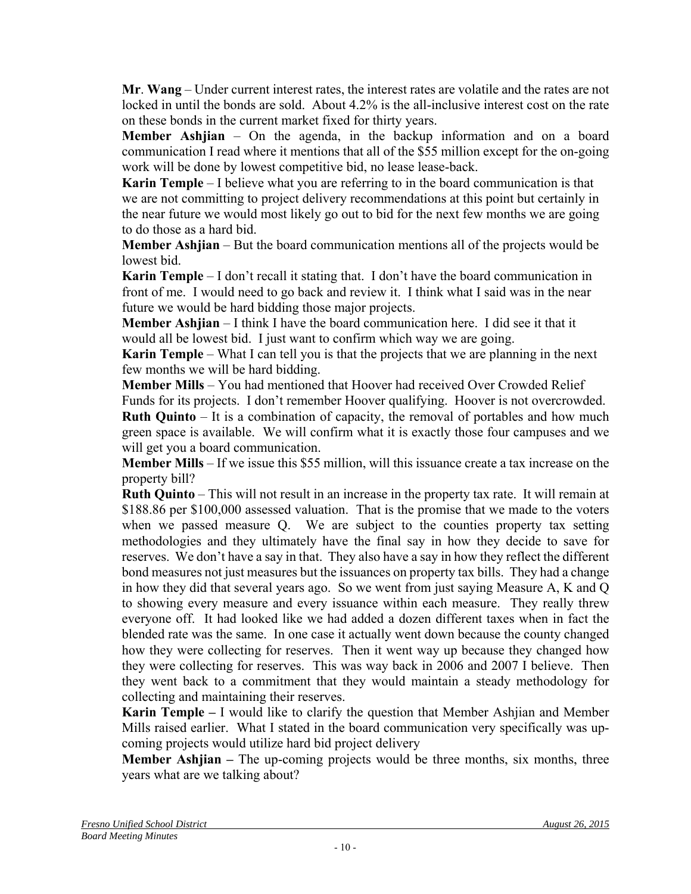**Mr**. **Wang** – Under current interest rates, the interest rates are volatile and the rates are not locked in until the bonds are sold. About 4.2% is the all-inclusive interest cost on the rate on these bonds in the current market fixed for thirty years.

**Member Ashjian** – On the agenda, in the backup information and on a board communication I read where it mentions that all of the \$55 million except for the on-going work will be done by lowest competitive bid, no lease lease-back.

**Karin Temple** – I believe what you are referring to in the board communication is that we are not committing to project delivery recommendations at this point but certainly in the near future we would most likely go out to bid for the next few months we are going to do those as a hard bid.

**Member Ashjian** – But the board communication mentions all of the projects would be lowest bid.

**Karin Temple** – I don't recall it stating that. I don't have the board communication in front of me. I would need to go back and review it. I think what I said was in the near future we would be hard bidding those major projects.

**Member Ashjian** – I think I have the board communication here. I did see it that it would all be lowest bid. I just want to confirm which way we are going.

**Karin Temple** – What I can tell you is that the projects that we are planning in the next few months we will be hard bidding.

**Member Mills** – You had mentioned that Hoover had received Over Crowded Relief

Funds for its projects. I don't remember Hoover qualifying. Hoover is not overcrowded. **Ruth Quinto** – It is a combination of capacity, the removal of portables and how much green space is available. We will confirm what it is exactly those four campuses and we will get you a board communication.

**Member Mills** – If we issue this \$55 million, will this issuance create a tax increase on the property bill?

**Ruth Quinto** – This will not result in an increase in the property tax rate. It will remain at \$188.86 per \$100,000 assessed valuation. That is the promise that we made to the voters when we passed measure Q. We are subject to the counties property tax setting methodologies and they ultimately have the final say in how they decide to save for reserves. We don't have a say in that. They also have a say in how they reflect the different bond measures not just measures but the issuances on property tax bills. They had a change in how they did that several years ago. So we went from just saying Measure A, K and Q to showing every measure and every issuance within each measure. They really threw everyone off. It had looked like we had added a dozen different taxes when in fact the blended rate was the same. In one case it actually went down because the county changed how they were collecting for reserves. Then it went way up because they changed how they were collecting for reserves. This was way back in 2006 and 2007 I believe. Then they went back to a commitment that they would maintain a steady methodology for collecting and maintaining their reserves.

**Karin Temple –** I would like to clarify the question that Member Ashjian and Member Mills raised earlier. What I stated in the board communication very specifically was upcoming projects would utilize hard bid project delivery

**Member Ashijan** – The up-coming projects would be three months, six months, three years what are we talking about?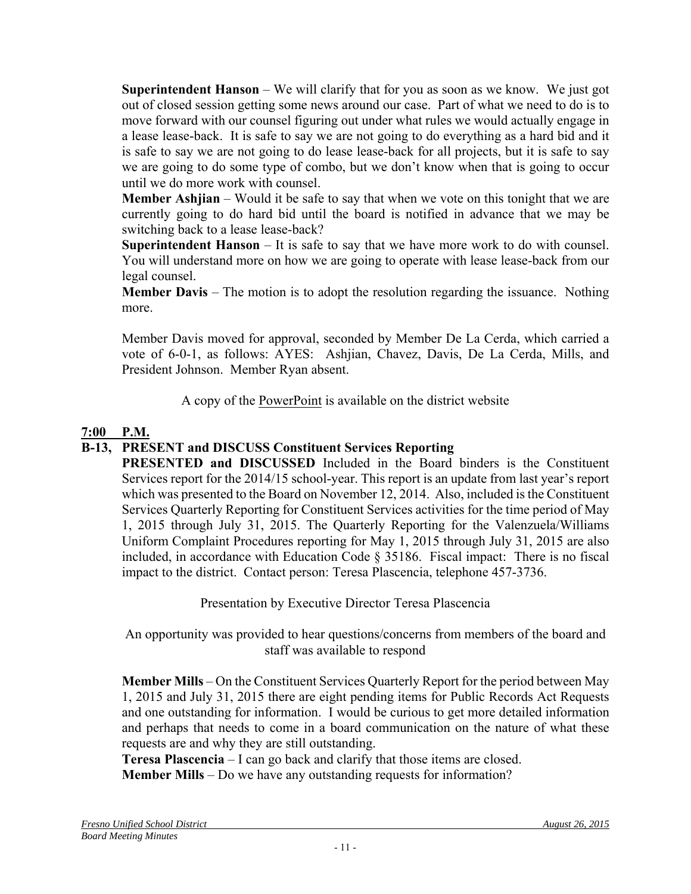**Superintendent Hanson** – We will clarify that for you as soon as we know. We just got out of closed session getting some news around our case. Part of what we need to do is to move forward with our counsel figuring out under what rules we would actually engage in a lease lease-back. It is safe to say we are not going to do everything as a hard bid and it is safe to say we are not going to do lease lease-back for all projects, but it is safe to say we are going to do some type of combo, but we don't know when that is going to occur until we do more work with counsel.

**Member Ashjian** – Would it be safe to say that when we vote on this tonight that we are currently going to do hard bid until the board is notified in advance that we may be switching back to a lease lease-back?

**Superintendent Hanson** – It is safe to say that we have more work to do with counsel. You will understand more on how we are going to operate with lease lease-back from our legal counsel.

**Member Davis** – The motion is to adopt the resolution regarding the issuance. Nothing more.

Member Davis moved for approval, seconded by Member De La Cerda, which carried a vote of 6-0-1, as follows: AYES: Ashjian, Chavez, Davis, De La Cerda, Mills, and President Johnson. Member Ryan absent.

A copy of the PowerPoint is available on the district website

## **7:00 P.M.**

## **B-13, PRESENT and DISCUSS Constituent Services Reporting**

**PRESENTED and DISCUSSED** Included in the Board binders is the Constituent Services report for the 2014/15 school-year. This report is an update from last year's report which was presented to the Board on November 12, 2014. Also, included is the Constituent Services Quarterly Reporting for Constituent Services activities for the time period of May 1, 2015 through July 31, 2015. The Quarterly Reporting for the Valenzuela/Williams Uniform Complaint Procedures reporting for May 1, 2015 through July 31, 2015 are also included, in accordance with Education Code § 35186. Fiscal impact: There is no fiscal impact to the district. Contact person: Teresa Plascencia, telephone 457-3736.

Presentation by Executive Director Teresa Plascencia

An opportunity was provided to hear questions/concerns from members of the board and staff was available to respond

**Member Mills** – On the Constituent Services Quarterly Report for the period between May 1, 2015 and July 31, 2015 there are eight pending items for Public Records Act Requests and one outstanding for information. I would be curious to get more detailed information and perhaps that needs to come in a board communication on the nature of what these requests are and why they are still outstanding.

**Teresa Plascencia** – I can go back and clarify that those items are closed.

**Member Mills** – Do we have any outstanding requests for information?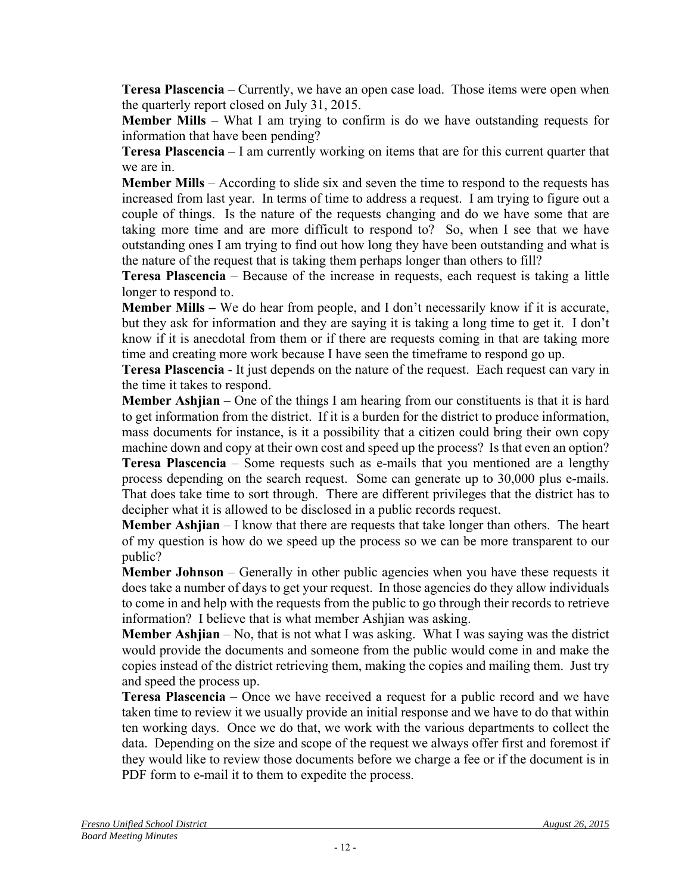**Teresa Plascencia** – Currently, we have an open case load. Those items were open when the quarterly report closed on July 31, 2015.

**Member Mills** – What I am trying to confirm is do we have outstanding requests for information that have been pending?

**Teresa Plascencia** – I am currently working on items that are for this current quarter that we are in.

**Member Mills** – According to slide six and seven the time to respond to the requests has increased from last year. In terms of time to address a request. I am trying to figure out a couple of things. Is the nature of the requests changing and do we have some that are taking more time and are more difficult to respond to? So, when I see that we have outstanding ones I am trying to find out how long they have been outstanding and what is the nature of the request that is taking them perhaps longer than others to fill?

**Teresa Plascencia** – Because of the increase in requests, each request is taking a little longer to respond to.

**Member Mills –** We do hear from people, and I don't necessarily know if it is accurate, but they ask for information and they are saying it is taking a long time to get it. I don't know if it is anecdotal from them or if there are requests coming in that are taking more time and creating more work because I have seen the timeframe to respond go up.

**Teresa Plascencia** - It just depends on the nature of the request. Each request can vary in the time it takes to respond.

**Member Ashjian** – One of the things I am hearing from our constituents is that it is hard to get information from the district. If it is a burden for the district to produce information, mass documents for instance, is it a possibility that a citizen could bring their own copy machine down and copy at their own cost and speed up the process? Is that even an option?

**Teresa Plascencia** – Some requests such as e-mails that you mentioned are a lengthy process depending on the search request. Some can generate up to 30,000 plus e-mails. That does take time to sort through. There are different privileges that the district has to decipher what it is allowed to be disclosed in a public records request.

**Member Ashjian** – I know that there are requests that take longer than others. The heart of my question is how do we speed up the process so we can be more transparent to our public?

**Member Johnson** – Generally in other public agencies when you have these requests it does take a number of days to get your request. In those agencies do they allow individuals to come in and help with the requests from the public to go through their records to retrieve information? I believe that is what member Ashjian was asking.

**Member Ashjian** – No, that is not what I was asking. What I was saying was the district would provide the documents and someone from the public would come in and make the copies instead of the district retrieving them, making the copies and mailing them. Just try and speed the process up.

**Teresa Plascencia** – Once we have received a request for a public record and we have taken time to review it we usually provide an initial response and we have to do that within ten working days. Once we do that, we work with the various departments to collect the data. Depending on the size and scope of the request we always offer first and foremost if they would like to review those documents before we charge a fee or if the document is in PDF form to e-mail it to them to expedite the process.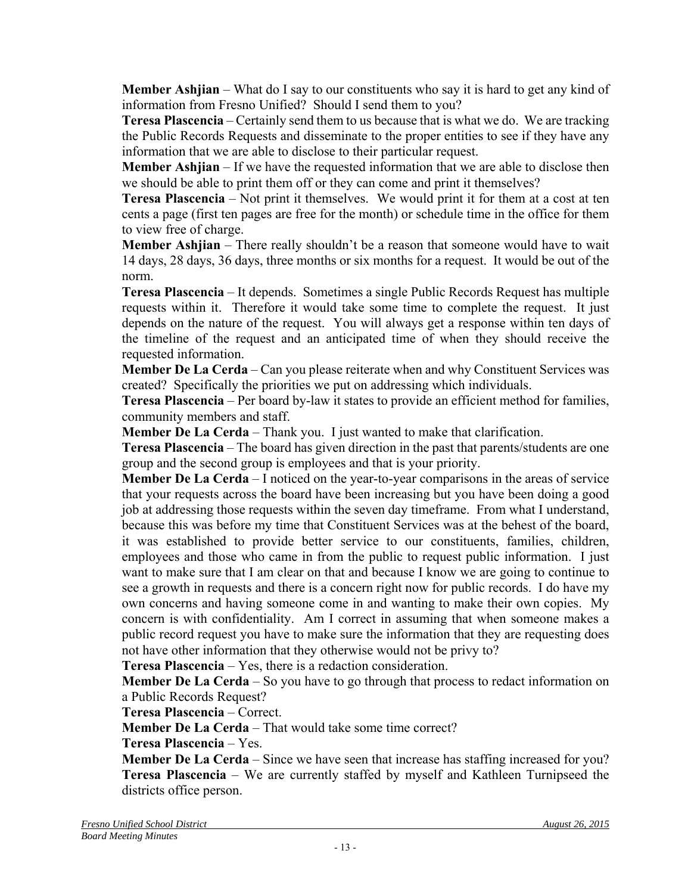**Member Ashjian** – What do I say to our constituents who say it is hard to get any kind of information from Fresno Unified? Should I send them to you?

**Teresa Plascencia** – Certainly send them to us because that is what we do. We are tracking the Public Records Requests and disseminate to the proper entities to see if they have any information that we are able to disclose to their particular request.

**Member Ashjian** – If we have the requested information that we are able to disclose then we should be able to print them off or they can come and print it themselves?

**Teresa Plascencia** – Not print it themselves. We would print it for them at a cost at ten cents a page (first ten pages are free for the month) or schedule time in the office for them to view free of charge.

**Member Ashjian** – There really shouldn't be a reason that someone would have to wait 14 days, 28 days, 36 days, three months or six months for a request. It would be out of the norm.

**Teresa Plascencia** – It depends. Sometimes a single Public Records Request has multiple requests within it. Therefore it would take some time to complete the request. It just depends on the nature of the request. You will always get a response within ten days of the timeline of the request and an anticipated time of when they should receive the requested information.

**Member De La Cerda** – Can you please reiterate when and why Constituent Services was created? Specifically the priorities we put on addressing which individuals.

**Teresa Plascencia** – Per board by-law it states to provide an efficient method for families, community members and staff.

**Member De La Cerda** – Thank you. I just wanted to make that clarification.

**Teresa Plascencia** – The board has given direction in the past that parents/students are one group and the second group is employees and that is your priority.

**Member De La Cerda** – I noticed on the year-to-year comparisons in the areas of service that your requests across the board have been increasing but you have been doing a good job at addressing those requests within the seven day timeframe. From what I understand, because this was before my time that Constituent Services was at the behest of the board, it was established to provide better service to our constituents, families, children, employees and those who came in from the public to request public information. I just want to make sure that I am clear on that and because I know we are going to continue to see a growth in requests and there is a concern right now for public records. I do have my own concerns and having someone come in and wanting to make their own copies. My concern is with confidentiality. Am I correct in assuming that when someone makes a public record request you have to make sure the information that they are requesting does not have other information that they otherwise would not be privy to?

**Teresa Plascencia** – Yes, there is a redaction consideration.

**Member De La Cerda** – So you have to go through that process to redact information on a Public Records Request?

**Teresa Plascencia** – Correct.

**Member De La Cerda** – That would take some time correct?

**Teresa Plascencia** – Yes.

**Member De La Cerda** – Since we have seen that increase has staffing increased for you? **Teresa Plascencia** – We are currently staffed by myself and Kathleen Turnipseed the districts office person.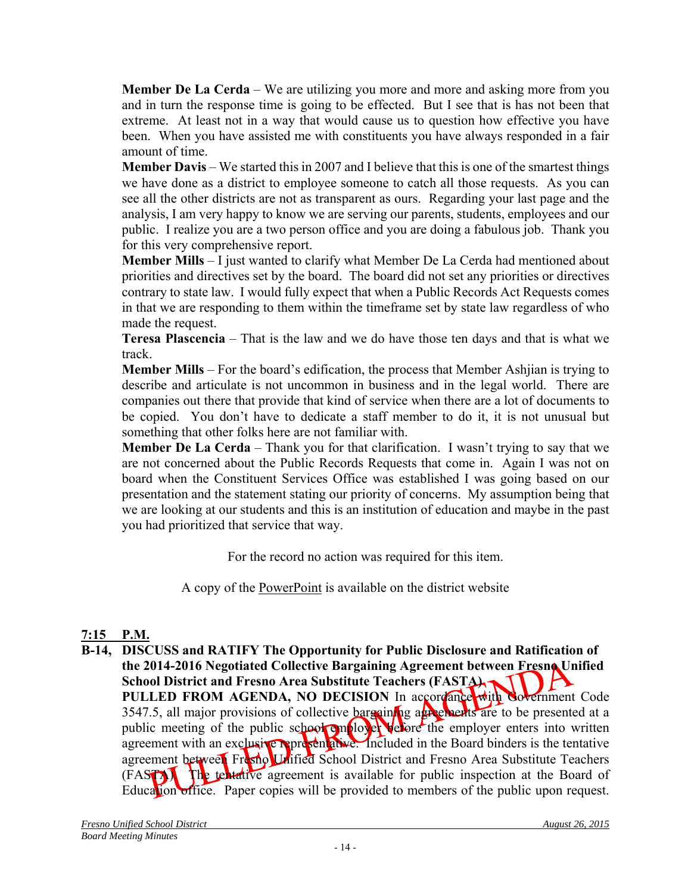**Member De La Cerda** – We are utilizing you more and more and asking more from you and in turn the response time is going to be effected. But I see that is has not been that extreme. At least not in a way that would cause us to question how effective you have been. When you have assisted me with constituents you have always responded in a fair amount of time.

**Member Davis** – We started this in 2007 and I believe that this is one of the smartest things we have done as a district to employee someone to catch all those requests. As you can see all the other districts are not as transparent as ours. Regarding your last page and the analysis, I am very happy to know we are serving our parents, students, employees and our public. I realize you are a two person office and you are doing a fabulous job. Thank you for this very comprehensive report.

**Member Mills** – I just wanted to clarify what Member De La Cerda had mentioned about priorities and directives set by the board. The board did not set any priorities or directives contrary to state law. I would fully expect that when a Public Records Act Requests comes in that we are responding to them within the timeframe set by state law regardless of who made the request.

**Teresa Plascencia** – That is the law and we do have those ten days and that is what we track.

**Member Mills** – For the board's edification, the process that Member Ashjian is trying to describe and articulate is not uncommon in business and in the legal world. There are companies out there that provide that kind of service when there are a lot of documents to be copied. You don't have to dedicate a staff member to do it, it is not unusual but something that other folks here are not familiar with.

**Member De La Cerda** – Thank you for that clarification. I wasn't trying to say that we are not concerned about the Public Records Requests that come in. Again I was not on board when the Constituent Services Office was established I was going based on our presentation and the statement stating our priority of concerns. My assumption being that we are looking at our students and this is an institution of education and maybe in the past you had prioritized that service that way.

For the record no action was required for this item.

A copy of the PowerPoint is available on the district website

# **7:15 P.M.**

**B-14, DISCUSS and RATIFY The Opportunity for Public Disclosure and Ratification of the 2014-2016 Negotiated Collective Bargaining Agreement between Fresno Unified School District and Fresno Area Substitute Teachers (FASTA) 11** PULLED FROM AGENDA, NO DECISION In accordance with Government Code 3547.5, all major provisions of collective bargaining agreements are to be presented at a public meeting of the public school employer vefore the employer enters into written agreement with an exclusive representative. Included in the Board binders is the tentative agreement between Fresno Unified School District and Fresno Area Substitute Teachers (FASTA). The tentative agreement is available for public inspection at the Board of Education office. Paper copies will be provided to members of the public upon request.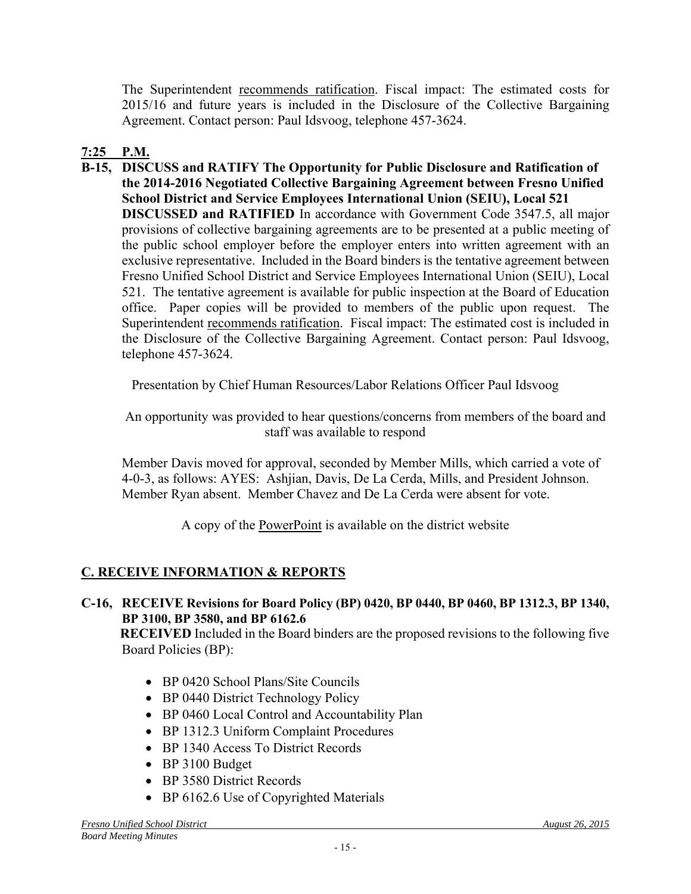The Superintendent recommends ratification. Fiscal impact: The estimated costs for 2015/16 and future years is included in the Disclosure of the Collective Bargaining Agreement. Contact person: Paul Idsvoog, telephone 457-3624.

# **7:25 P.M.**

**B-15, DISCUSS and RATIFY The Opportunity for Public Disclosure and Ratification of the 2014-2016 Negotiated Collective Bargaining Agreement between Fresno Unified School District and Service Employees International Union (SEIU), Local 521 DISCUSSED and RATIFIED** In accordance with Government Code 3547.5, all major provisions of collective bargaining agreements are to be presented at a public meeting of the public school employer before the employer enters into written agreement with an exclusive representative. Included in the Board binders is the tentative agreement between Fresno Unified School District and Service Employees International Union (SEIU), Local 521. The tentative agreement is available for public inspection at the Board of Education office. Paper copies will be provided to members of the public upon request. The Superintendent recommends ratification. Fiscal impact: The estimated cost is included in the Disclosure of the Collective Bargaining Agreement. Contact person: Paul Idsvoog, telephone 457-3624.

Presentation by Chief Human Resources/Labor Relations Officer Paul Idsvoog

An opportunity was provided to hear questions/concerns from members of the board and staff was available to respond

Member Davis moved for approval, seconded by Member Mills, which carried a vote of 4-0-3, as follows: AYES: Ashjian, Davis, De La Cerda, Mills, and President Johnson. Member Ryan absent. Member Chavez and De La Cerda were absent for vote.

A copy of the PowerPoint is available on the district website

# **C. RECEIVE INFORMATION & REPORTS**

**C-16, RECEIVE Revisions for Board Policy (BP) 0420, BP 0440, BP 0460, BP 1312.3, BP 1340, BP 3100, BP 3580, and BP 6162.6**

**RECEIVED** Included in the Board binders are the proposed revisions to the following five Board Policies (BP):

- BP 0420 School Plans/Site Councils
- BP 0440 District Technology Policy
- BP 0460 Local Control and Accountability Plan
- BP 1312.3 Uniform Complaint Procedures
- BP 1340 Access To District Records
- BP 3100 Budget
- BP 3580 District Records
- BP 6162.6 Use of Copyrighted Materials